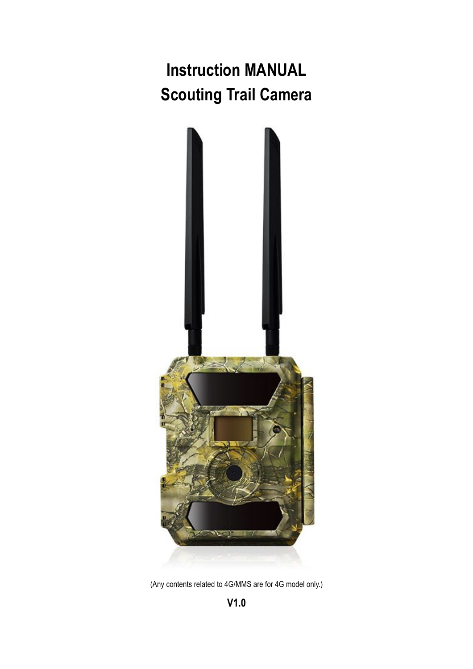**Instruction MANUAL Scouting Trail Camera**



(Any contents related to 4G/MMS are for 4G model only.)

**V1.0**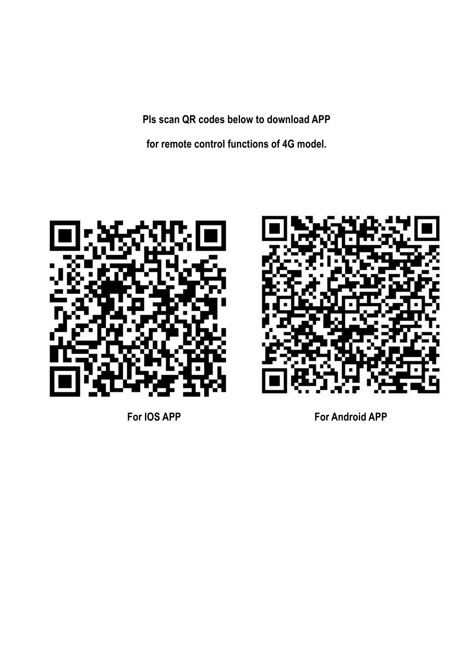**Pls scan QR codes below to download APP**

**for remote control functions of 4G model.**





**For IOS APP For Android APP**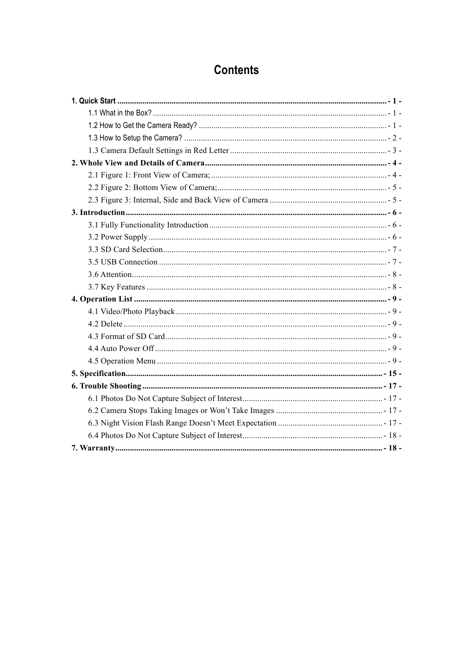# **Contents**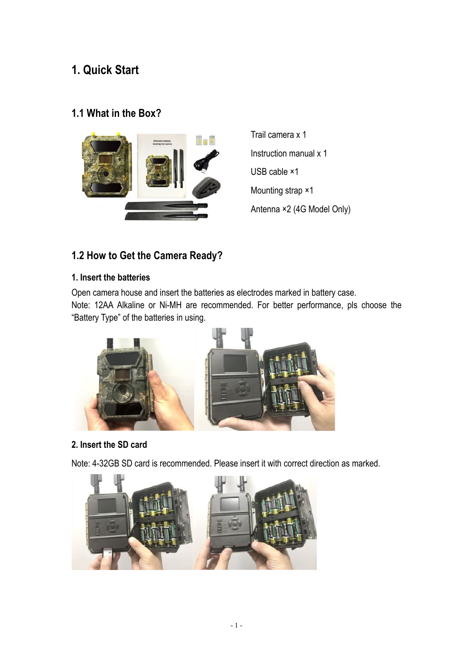# **1. Quick Start**

# **1.1 What in the Box?**



Trail camera x 1 Instruction manual x 1 USB cable ×1 Mounting strap ×1 Antenna ×2 (4G Model Only)

# **1.2 How to Get the Camera Ready?**

#### **1. Insert the batteries**

Open camera house and insert the batteries as electrodes marked in battery case. Note: 12AA Alkaline or Ni-MH are recommended. For better performance, pls choose the "Battery Type" of the batteries in using.



#### **2. Insert the SD card**

Note: 4-32GB SD card is recommended. Please insert it with correct direction as marked.

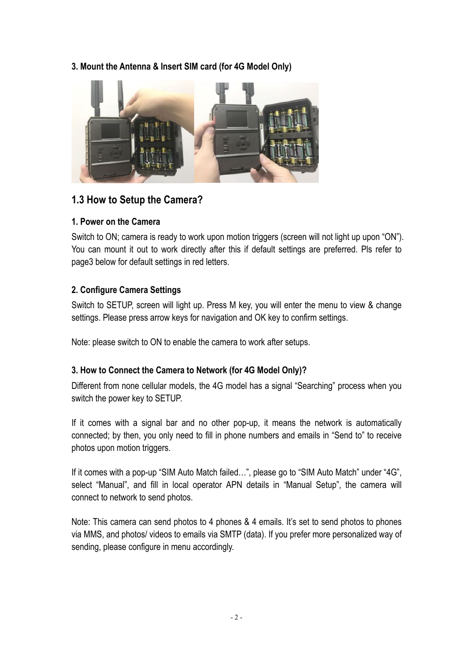#### **3. Mount the Antenna & Insert SIM card (for 4G Model Only)**



## **1.3 How to Setup the Camera?**

#### **1. Power on the Camera**

Switch to ON; camera is ready to work upon motion triggers (screen will not light up upon "ON"). You can mount it out to work directly after this if default settings are preferred. Pls refer to page3 below for default settings in red letters.

#### **2. Configure Camera Settings**

Switch to SETUP, screen will light up. Press M key, you will enter the menu to view & change settings. Please press arrow keys for navigation and OK key to confirm settings.

Note: please switch to ON to enable the camera to work after setups.

#### **3. How to Connect the Camera to Network (for 4G Model Only)?**

Different from none cellular models, the 4G model has a signal "Searching" process when you switch the power key to SETUP.

If it comes with a signal bar and no other pop-up, it means the network is automatically connected; by then, you only need to fill in phone numbers and emails in "Send to" to receive photos upon motion triggers.

If it comes with a pop-up "SIM Auto Match failed…", please go to "SIM Auto Match" under "4G", select "Manual", and fill in local operator APN details in "Manual Setup", the camera will connect to network to send photos.

Note: This camera can send photos to 4 phones & 4 emails. It's set to send photos to phones via MMS, and photos/ videos to emails via SMTP (data). If you prefer more personalized way of sending, please configure in menu accordingly.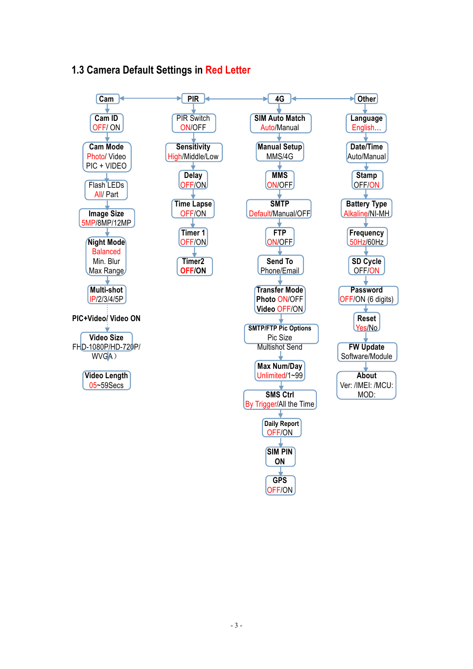# **1.3 Camera Default Settings in Red Letter**

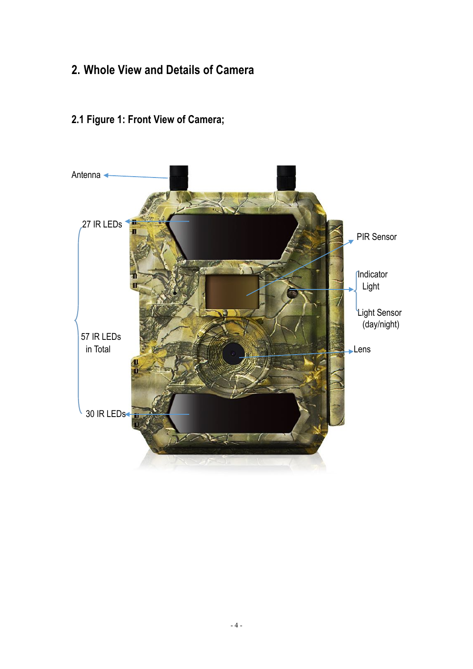# **2. Whole View and Details of Camera**

# **2.1 Figure 1: Front View of Camera;**

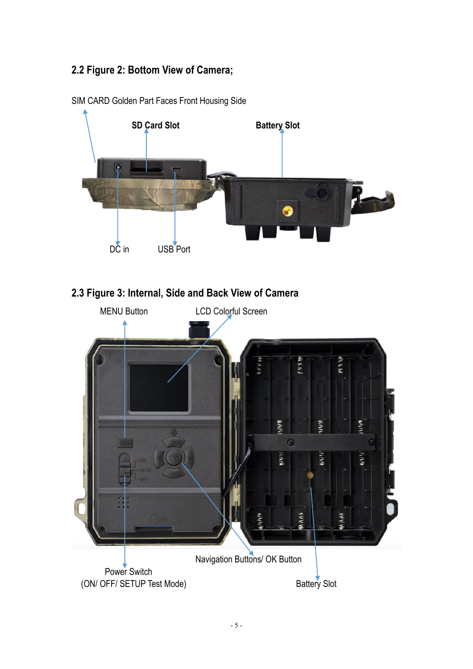# **2.2 Figure 2: Bottom View of Camera;**



SIM CARD Golden Part Faces Front Housing Side

# **2.3 Figure 3: Internal, Side and Back View of Camera**

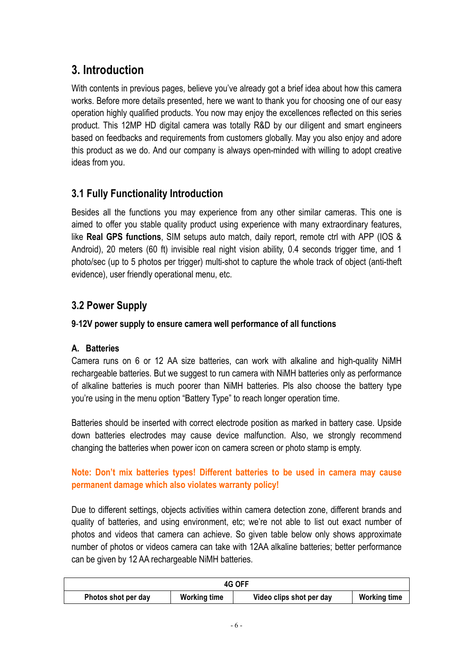# **3. Introduction**

With contents in previous pages, believe you've already got a brief idea about how this camera works. Before more details presented, here we want to thank you for choosing one of our easy operation highly qualified products. You now may enjoy the excellences reflected on this series product. This 12MP HD digital camera was totally R&D by our diligent and smart engineers based on feedbacks and requirements from customers globally. May you also enjoy and adore this product as we do. And our company is always open-minded with willing to adopt creative ideas from you.

# **3.1 Fully Functionality Introduction**

Besides all the functions you may experience from any other similar cameras. This one is aimed to offer you stable quality product using experience with many extraordinary features, like **Real GPS functions**, SIM setups auto match, daily report, remote ctrl with APP (IOS & Android), 20 meters (60 ft) invisible real night vision ability, 0.4 seconds trigger time, and 1 photo/sec (up to 5 photos per trigger) multi-shot to capture the whole track of object (anti-theft evidence), user friendly operational menu, etc.

# **3.2 Power Supply**

## **9**-**12V power supply to ensure camera well performance of all functions**

#### **A. Batteries**

Camera runs on 6 or 12 AA size batteries, can work with alkaline and high-quality NiMH rechargeable batteries. But we suggest to run camera with NiMH batteries only as performance of alkaline batteries is much poorer than NiMH batteries. Pls also choose the battery type you're using in the menu option "Battery Type" to reach longer operation time.

Batteries should be inserted with correct electrode position as marked in battery case. Upside down batteries electrodes may cause device malfunction. Also, we strongly recommend changing the batteries when power icon on camera screen or photo stamp is empty.

#### **Note: Don't mix batteries types! Different batteries to be used in camera may cause permanent damage which also violates warranty policy!**

Due to different settings, objects activities within camera detection zone, different brands and quality of batteries, and using environment, etc; we're not able to list out exact number of photos and videos that camera can achieve. So given table below only shows approximate number of photos or videos camera can take with 12AA alkaline batteries; better performance can be given by 12 AA rechargeable NiMH batteries.

| 4G OFF                                     |  |                          |                     |
|--------------------------------------------|--|--------------------------|---------------------|
| <b>Working time</b><br>Photos shot per day |  | Video clips shot per day | <b>Working time</b> |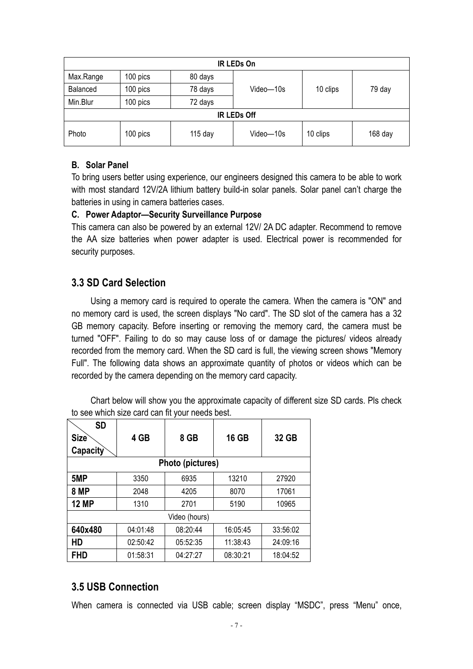| <b>IR LEDs On</b>                                                    |          |         |           |          |        |
|----------------------------------------------------------------------|----------|---------|-----------|----------|--------|
| Max.Range                                                            | 100 pics | 80 days |           |          |        |
| Balanced                                                             | 100 pics | 78 days | Video-10s | 10 clips | 79 day |
| Min.Blur                                                             | 100 pics | 72 days |           |          |        |
| <b>IR LEDs Off</b>                                                   |          |         |           |          |        |
| 100 pics<br>Photo<br>10 clips<br>$115$ day<br>Video-10s<br>$168$ day |          |         |           |          |        |

#### **B. Solar Panel**

To bring users better using experience, our engineers designed this camera to be able to work with most standard 12V/2A lithium battery build-in solar panels. Solar panel can't charge the batteries in using in camera batteries cases.

#### **C. Power Adaptor—Security Surveillance Purpose**

This camera can also be powered by an external 12V/ 2A DC adapter. Recommend to remove the AA size batteries when power adapter is used. Electrical power is recommended for security purposes.

## **3.3 SD Card Selection**

Using a memory card is required to operate the camera. When the camera is "ON" and no memory card is used, the screen displays "No card". The SD slot of the camera has a 32 GB memory capacity. Before inserting or removing the memory card, the camera must be turned "OFF". Failing to do so may cause loss of or damage the pictures/ videos already recorded from the memory card. When the SD card is full, the viewing screen shows "Memory Full". The following data shows an approximate quantity of photos or videos which can be recorded by the camera depending on the memory card capacity.

| <b>SD</b>         |          |                  |              |          |
|-------------------|----------|------------------|--------------|----------|
| Size <sup>®</sup> | 4 GB     | 8 GB             | <b>16 GB</b> | 32 GB    |
| Capacity          |          |                  |              |          |
|                   |          | Photo (pictures) |              |          |
| 5MP               | 3350     | 6935             | 13210        | 27920    |
| <b>8 MP</b>       | 2048     | 4205             | 8070         | 17061    |
| <b>12 MP</b>      | 1310     | 2701             | 5190         | 10965    |
| Video (hours)     |          |                  |              |          |
| 640x480           | 04:01:48 | 08:20:44         | 16:05:45     | 33:56:02 |
| HD                | 02:50:42 | 05:52:35         | 11:38:43     | 24:09:16 |
| FHD               | 01:58:31 | 04:27:27         | 08:30:21     | 18:04:52 |

Chart below will show you the approximate capacity of different size SD cards. Pls check to see which size card can fit your needs best.

# **3.5 USB Connection**

When camera is connected via USB cable; screen display "MSDC", press "Menu" once,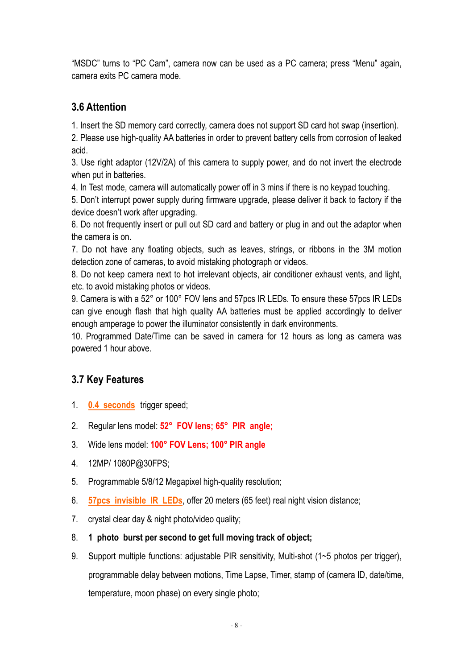"MSDC" turns to "PC Cam", camera now can be used as a PC camera; press "Menu" again, camera exits PC camera mode.

## **3.6 Attention**

1. Insert the SD memory card correctly, camera does not support SD card hot swap (insertion).

2. Please use high-quality AA batteries in order to prevent battery cells from corrosion of leaked acid.

3. Use right adaptor (12V/2A) of this camera to supply power, and do not invert the electrode when put in batteries.

4. In Test mode, camera will automatically power off in 3 mins if there is no keypad touching.

5. Don't interrupt power supply during firmware upgrade, please deliver it back to factory if the device doesn't work after upgrading.

6. Do not frequently insert or pull out SD card and battery or plug in and out the adaptor when the camera is on.

7. Do not have any floating objects, such as leaves, strings, or ribbons in the 3M motion detection zone of cameras, to avoid mistaking photograph or videos.

8. Do not keep camera next to hot irrelevant objects, air conditioner exhaust vents, and light, etc. to avoid mistaking photos or videos.

9. Camera is with a 52° or 100° FOV lens and 57pcs IR LEDs. To ensure these 57pcs IR LEDs can give enough flash that high quality AA batteries must be applied accordingly to deliver enough amperage to power the illuminator consistently in dark environments.

10. Programmed Date/Time can be saved in camera for 12 hours as long as camera was powered 1 hour above.

# **3.7 Key Features**

- 1. **0.4 seconds** trigger speed;
- 2. Regular lens model: **52° FOV lens; 65° PIR angle;**
- 3. Wide lens model: **100° FOV Lens; 100° PIR angle**
- 4. 12MP/ 1080P@30FPS;
- 5. Programmable 5/8/12 Megapixel high-quality resolution;
- 6. **57pcs invisible IR LEDs**, offer 20 meters (65 feet) real night vision distance;
- 7. crystal clear day & night photo/video quality;
- 8. **1 photo burst per second to get full moving track of object;**
- 9. Support multiple functions: adjustable PIR sensitivity, Multi-shot (1~5 photos per trigger), programmable delay between motions, Time Lapse, Timer, stamp of (camera ID, date/time, temperature, moon phase) on every single photo;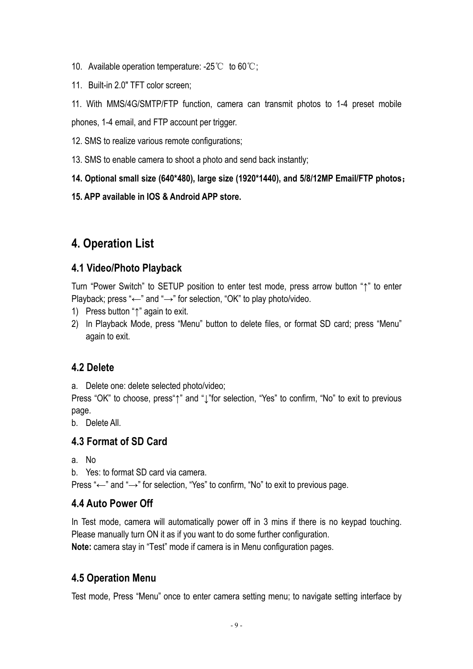- 10. Available operation temperature:  $-25^{\circ}$  to 60 $^{\circ}$ C:
- 11. Built-in 2.0" TFT color screen;

11. With MMS/4G/SMTP/FTP function, camera can transmit photos to 1-4 preset mobile phones, 1-4 email, and FTP account per trigger.

- 12. SMS to realize various remote configurations;
- 13. SMS to enable camera to shoot a photo and send back instantly;
- **14. Optional small size (640\*480), large size (1920\*1440), and 5/8/12MP Email/FTP photos**
- **15. APP available in IOS & Android APP store.**

# **4. Operation List**

## **4.1 Video/Photo Playback**

Turn "Power Switch" to SETUP position to enter test mode, press arrow button "↑" to enter Playback; press " $\leftarrow$ " and " $\rightarrow$ " for selection, "OK" to play photo/video.

- 1) Press button "↑" again to exit.
- 2) In Playback Mode, press "Menu" button to delete files, or format SD card; press "Menu" again to exit.

#### **4.2 Delete**

a. Delete one: delete selected photo/video;

Press "OK" to choose, press "↑" and "<sup>1</sup>" for selection, "Yes" to confirm, "No" to exit to previous page.

b. Delete All.

#### **4.3 Format of SD Card**

a. No

b. Yes: to format SD card via camera.

Press "←" and "→" for selection, "Yes" to confirm, "No" to exit to previous page.

#### **4.4 Auto Power Off**

In Test mode, camera will automatically power off in 3 mins if there is no keypad touching. Please manually turn ON it as if you want to do some further configuration. **Note:** camera stay in "Test" mode if camera is in Menu configuration pages.

# **4.5 Operation Menu**

Test mode, Press "Menu" once to enter camera setting menu; to navigate setting interface by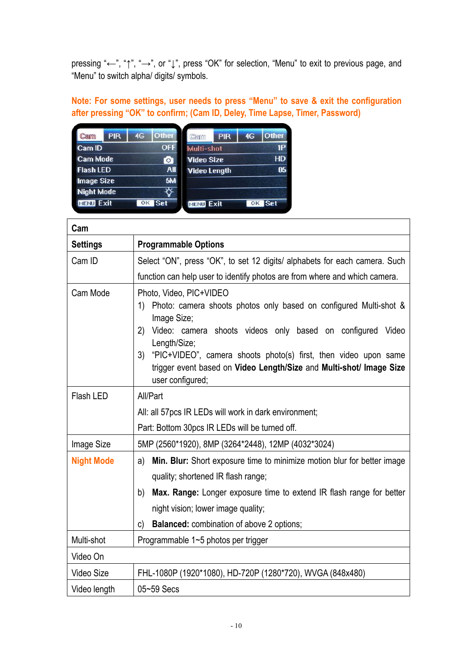pressing "←", "↑", "→", or "↓", press "OK" for selection, "Menu" to exit to previous page, and "Menu" to switch alpha/ digits/ symbols.

**Note: For some settings, user needs to press "Menu" to save & exit the configuration after pressing "OK" to confirm; (Cam ID, Deley, Time Lapse, Timer, Password)**

| Cam               | <b>PIR</b> | 4G | Other      | Cam                 | <b>PIR</b> | 4G | Other      |
|-------------------|------------|----|------------|---------------------|------------|----|------------|
| Cam ID            |            |    | <b>OFF</b> | Multi-shot          |            |    | 1P         |
| <b>Cam Mode</b>   |            |    | Ō          | <b>Video Size</b>   |            |    | <b>HD</b>  |
| <b>Flash LED</b>  |            |    | All        | <b>Video Length</b> |            |    | 05         |
| <b>Image Size</b> |            |    | 5M         |                     |            |    |            |
| <b>Night Mode</b> |            |    | ⋫          |                     |            |    |            |
| <b>MENU Exit</b>  |            | OK | Set        | <b>MENU Exit</b>    |            | OK | <b>Set</b> |

| Cam               |                                                                                                                                                                                                                                                                                                                                                                        |
|-------------------|------------------------------------------------------------------------------------------------------------------------------------------------------------------------------------------------------------------------------------------------------------------------------------------------------------------------------------------------------------------------|
| <b>Settings</b>   | <b>Programmable Options</b>                                                                                                                                                                                                                                                                                                                                            |
| Cam ID            | Select "ON", press "OK", to set 12 digits/ alphabets for each camera. Such                                                                                                                                                                                                                                                                                             |
|                   | function can help user to identify photos are from where and which camera.                                                                                                                                                                                                                                                                                             |
| Cam Mode          | Photo, Video, PIC+VIDEO<br>Photo: camera shoots photos only based on configured Multi-shot &<br>1)<br>Image Size;<br>2) Video: camera shoots videos only based on configured Video<br>Length/Size;<br>"PIC+VIDEO", camera shoots photo(s) first, then video upon same<br>3)<br>trigger event based on Video Length/Size and Multi-shot/ Image Size<br>user configured; |
| Flash LED         | All/Part                                                                                                                                                                                                                                                                                                                                                               |
|                   | All: all 57pcs IR LEDs will work in dark environment;                                                                                                                                                                                                                                                                                                                  |
|                   | Part: Bottom 30pcs IR LEDs will be turned off.                                                                                                                                                                                                                                                                                                                         |
| Image Size        | 5MP (2560*1920), 8MP (3264*2448), 12MP (4032*3024)                                                                                                                                                                                                                                                                                                                     |
| <b>Night Mode</b> | Min. Blur: Short exposure time to minimize motion blur for better image<br>a)                                                                                                                                                                                                                                                                                          |
|                   | quality; shortened IR flash range;                                                                                                                                                                                                                                                                                                                                     |
|                   | Max. Range: Longer exposure time to extend IR flash range for better<br>b)                                                                                                                                                                                                                                                                                             |
|                   | night vision; lower image quality;                                                                                                                                                                                                                                                                                                                                     |
|                   | <b>Balanced:</b> combination of above 2 options;<br>C)                                                                                                                                                                                                                                                                                                                 |
| Multi-shot        | Programmable 1~5 photos per trigger                                                                                                                                                                                                                                                                                                                                    |
| Video On          |                                                                                                                                                                                                                                                                                                                                                                        |
| Video Size        | FHL-1080P (1920*1080), HD-720P (1280*720), WVGA (848x480)                                                                                                                                                                                                                                                                                                              |
| Video length      | 05~59 Secs                                                                                                                                                                                                                                                                                                                                                             |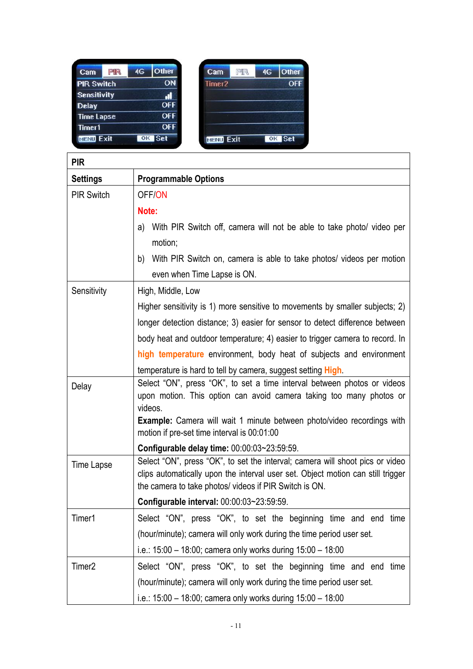| Other<br>4G      |
|------------------|
|                  |
| ON               |
|                  |
| OFF              |
| OFF              |
| OFF              |
| <b>Set</b><br>OK |
|                  |

| Cam                | PIR | 4G | Other  |
|--------------------|-----|----|--------|
| Timer <sub>2</sub> |     |    | OFF    |
|                    |     |    |        |
|                    |     |    |        |
|                    |     |    |        |
|                    |     |    |        |
| <b>MENU Exit</b>   |     |    | OK Set |

| <b>PIR</b>                                                          |                                                                                                                                                                                                                                             |  |  |  |
|---------------------------------------------------------------------|---------------------------------------------------------------------------------------------------------------------------------------------------------------------------------------------------------------------------------------------|--|--|--|
| <b>Settings</b>                                                     | <b>Programmable Options</b>                                                                                                                                                                                                                 |  |  |  |
| <b>PIR Switch</b>                                                   | OFF/ON                                                                                                                                                                                                                                      |  |  |  |
|                                                                     | Note:                                                                                                                                                                                                                                       |  |  |  |
|                                                                     | With PIR Switch off, camera will not be able to take photo/ video per<br>a)                                                                                                                                                                 |  |  |  |
|                                                                     | motion;                                                                                                                                                                                                                                     |  |  |  |
|                                                                     | b) With PIR Switch on, camera is able to take photos/ videos per motion                                                                                                                                                                     |  |  |  |
|                                                                     | even when Time Lapse is ON.                                                                                                                                                                                                                 |  |  |  |
| Sensitivity                                                         | High, Middle, Low                                                                                                                                                                                                                           |  |  |  |
|                                                                     | Higher sensitivity is 1) more sensitive to movements by smaller subjects; 2)                                                                                                                                                                |  |  |  |
|                                                                     | longer detection distance; 3) easier for sensor to detect difference between                                                                                                                                                                |  |  |  |
|                                                                     | body heat and outdoor temperature; 4) easier to trigger camera to record. In                                                                                                                                                                |  |  |  |
| high temperature environment, body heat of subjects and environment |                                                                                                                                                                                                                                             |  |  |  |
|                                                                     | temperature is hard to tell by camera, suggest setting <b>High</b>                                                                                                                                                                          |  |  |  |
| Delay                                                               | Select "ON", press "OK", to set a time interval between photos or videos<br>upon motion. This option can avoid camera taking too many photos or<br>videos.<br><b>Example:</b> Camera will wait 1 minute between photo/video recordings with |  |  |  |
|                                                                     | motion if pre-set time interval is 00:01:00                                                                                                                                                                                                 |  |  |  |
|                                                                     | Configurable delay time: 00:00:03~23:59:59.                                                                                                                                                                                                 |  |  |  |
| Time Lapse                                                          | Select "ON", press "OK", to set the interval; camera will shoot pics or video<br>clips automatically upon the interval user set. Object motion can still trigger<br>the camera to take photos/ videos if PIR Switch is ON.                  |  |  |  |
|                                                                     | Configurable interval: 00:00:03~23:59:59.                                                                                                                                                                                                   |  |  |  |
| Timer1                                                              | Select "ON", press "OK", to set the beginning time and end time                                                                                                                                                                             |  |  |  |
|                                                                     | (hour/minute); camera will only work during the time period user set.                                                                                                                                                                       |  |  |  |
|                                                                     | i.e.: 15:00 - 18:00; camera only works during 15:00 - 18:00                                                                                                                                                                                 |  |  |  |
| Timer <sub>2</sub>                                                  | Select "ON", press "OK", to set the beginning time and end time                                                                                                                                                                             |  |  |  |
|                                                                     | (hour/minute); camera will only work during the time period user set.                                                                                                                                                                       |  |  |  |
|                                                                     | i.e.: 15:00 - 18:00; camera only works during 15:00 - 18:00                                                                                                                                                                                 |  |  |  |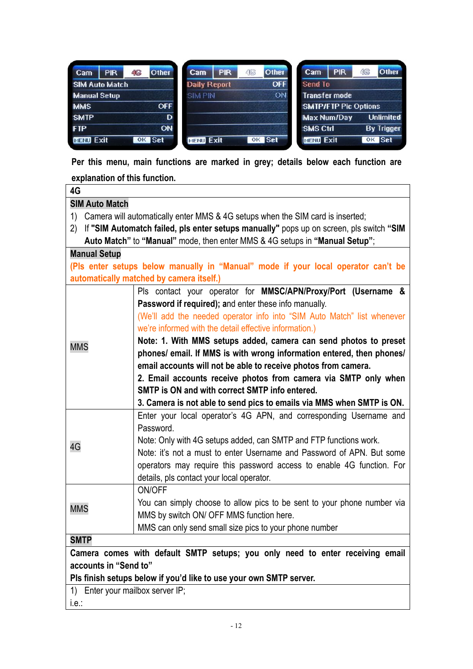| <b>PIR</b><br>Cam     | <b>Other</b><br>46 | <b>PIR</b><br>Cam   | <b>Other</b><br>46 | <b>PIR</b><br>Cam           | 46<br><b>Other</b> |
|-----------------------|--------------------|---------------------|--------------------|-----------------------------|--------------------|
| <b>SIM Auto Match</b> |                    | <b>Daily Report</b> | <b>OFF</b>         | Send To                     |                    |
| <b>Manual Setup</b>   |                    | <b>SIM PIN</b>      | <b>ON</b>          | <b>Transfer mode</b>        |                    |
| <b>MMS</b>            | <b>OFF</b>         |                     |                    | <b>SMTP/FTP Pic Options</b> |                    |
| <b>SMTP</b>           | D                  |                     |                    | <b>Max Num/Day</b>          | <b>Unlimited</b>   |
| <b>FTP</b>            | ON                 |                     |                    | <b>SMS Ctrl</b>             | <b>By Trigger</b>  |
| <b>MENU Exit</b>      | <b>Set</b><br>OK   | <b>MENU Exit</b>    | OK Set             | <b>MENU Exit</b>            | OK Set             |

**Per this menu, main functions are marked in grey; details below each function are explanation of this function.**

| 4G                                                                                            |                                                                                   |  |  |
|-----------------------------------------------------------------------------------------------|-----------------------------------------------------------------------------------|--|--|
| <b>SIM Auto Match</b>                                                                         |                                                                                   |  |  |
| 1)                                                                                            | Camera will automatically enter MMS & 4G setups when the SIM card is inserted;    |  |  |
| If "SIM Automatch failed, pls enter setups manually" pops up on screen, pls switch "SIM<br>2) |                                                                                   |  |  |
|                                                                                               | Auto Match" to "Manual" mode, then enter MMS & 4G setups in "Manual Setup";       |  |  |
| <b>Manual Setup</b>                                                                           |                                                                                   |  |  |
|                                                                                               | (PIs enter setups below manually in "Manual" mode if your local operator can't be |  |  |
|                                                                                               | automatically matched by camera itself.)                                          |  |  |
|                                                                                               | Pls contact your operator for MMSC/APN/Proxy/Port (Username &                     |  |  |
|                                                                                               | Password if required); and enter these info manually.                             |  |  |
|                                                                                               | (We'll add the needed operator info into "SIM Auto Match" list whenever           |  |  |
|                                                                                               | we're informed with the detail effective information.)                            |  |  |
|                                                                                               | Note: 1. With MMS setups added, camera can send photos to preset                  |  |  |
| <b>MMS</b>                                                                                    | phones/ email. If MMS is with wrong information entered, then phones/             |  |  |
|                                                                                               |                                                                                   |  |  |
|                                                                                               | email accounts will not be able to receive photos from camera.                    |  |  |
|                                                                                               | 2. Email accounts receive photos from camera via SMTP only when                   |  |  |
|                                                                                               | SMTP is ON and with correct SMTP info entered.                                    |  |  |
|                                                                                               | 3. Camera is not able to send pics to emails via MMS when SMTP is ON.             |  |  |
|                                                                                               | Enter your local operator's 4G APN, and corresponding Username and                |  |  |
|                                                                                               | Password.                                                                         |  |  |
| 4G                                                                                            | Note: Only with 4G setups added, can SMTP and FTP functions work.                 |  |  |
|                                                                                               | Note: it's not a must to enter Username and Password of APN. But some             |  |  |
|                                                                                               | operators may require this password access to enable 4G function. For             |  |  |
|                                                                                               | details, pls contact your local operator.                                         |  |  |
|                                                                                               | ON/OFF                                                                            |  |  |
|                                                                                               | You can simply choose to allow pics to be sent to your phone number via           |  |  |
| <b>MMS</b>                                                                                    | MMS by switch ON/ OFF MMS function here.                                          |  |  |
|                                                                                               | MMS can only send small size pics to your phone number                            |  |  |
| <b>SMTP</b>                                                                                   |                                                                                   |  |  |
|                                                                                               | Camera comes with default SMTP setups; you only need to enter receiving email     |  |  |
| accounts in "Send to"                                                                         |                                                                                   |  |  |
|                                                                                               | Pls finish setups below if you'd like to use your own SMTP server.                |  |  |
| 1) Enter your mailbox server IP;                                                              |                                                                                   |  |  |
|                                                                                               |                                                                                   |  |  |

 $|$  i.e.: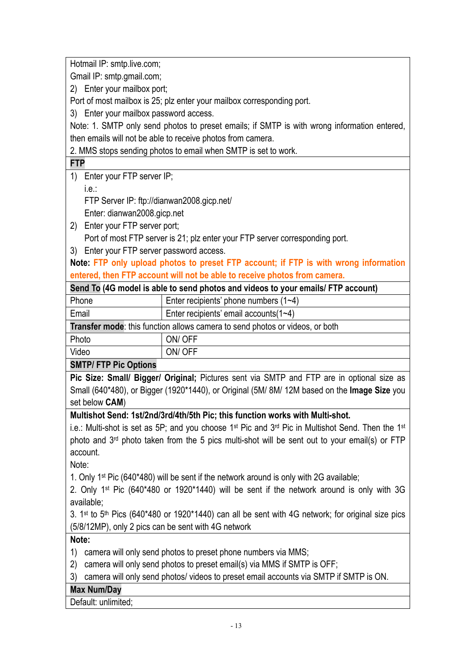Hotmail IP: smtp.live.com;

Gmail IP: smtp.gmail.com;

2) Enter your mailbox port;

Port of most mailbox is 25; plz enter your mailbox corresponding port.

3) Enter your mailbox password access.

Note: 1. SMTP only send photos to preset emails; if SMTP is with wrong information entered, then emails will not be able to receive photos from camera.

2. MMS stops sending photos to email when SMTP is set to work.

#### **FTP**

- 1) Enter your FTP server IP;
	- i.e.:

FTP Server IP: ftp://dianwan2008.gicp.net/

Enter: dianwan2008.gicp.net

- 2) Enter your FTP server port; Port of most FTP server is 21; plz enter your FTP server corresponding port.
- 3) Enter your FTP server password access.

**Note: FTP only upload photos to preset FTP account; if FTP is with wrong information entered, then FTP account will not be able to receive photos from camera.**

| Send To (4G model is able to send photos and videos to your emails/ FTP account) |                                         |  |
|----------------------------------------------------------------------------------|-----------------------------------------|--|
| Phone                                                                            | Enter recipients' phone numbers $(1-4)$ |  |

| Email                                                                               | Enter recipients' email accounts $(1-4)$ |  |  |  |
|-------------------------------------------------------------------------------------|------------------------------------------|--|--|--|
| <b>Transfer mode:</b> this function allows camera to send photos or videos, or both |                                          |  |  |  |
| Photo                                                                               | ON/OFF                                   |  |  |  |
| Video                                                                               | ON/OFF                                   |  |  |  |

#### **SMTP/ FTP Pic Options**

**Pic Size: Small/ Bigger/ Original;** Pictures sent via SMTP and FTP are in optional size as Small (640\*480), or Bigger (1920\*1440), or Original (5M/ 8M/ 12M based on the **Image Size** you set below **CAM**)

#### **Multishot Send: 1st/2nd/3rd/4th/5th Pic; this function works with Multi-shot.**

i.e.: Multi-shot is set as 5P; and you choose 1<sup>st</sup> Pic and 3<sup>rd</sup> Pic in Multishot Send. Then the 1<sup>st</sup> photo and 3rd photo taken from the 5 pics multi-shot will be sent out to your email(s) or FTP account.

Note:

1. Only 1st Pic (640\*480) will be sent if the network around is only with 2G available;

2. Only 1st Pic (640\*480 or 1920\*1440) will be sent if the network around is only with 3G available;

3. 1<sup>st</sup> to 5<sup>th</sup> Pics (640\*480 or 1920\*1440) can all be sent with 4G network; for original size pics (5/8/12MP), only 2 pics can be sent with 4G network

**Note:** 

- 1) camera will only send photos to preset phone numbers via MMS;
- 2) camera will only send photos to preset email(s) via MMS if SMTP is OFF;
- 3) camera will only send photos/ videos to preset email accounts via SMTP if SMTP is ON.

#### **Max Num/Day**

Default: unlimited;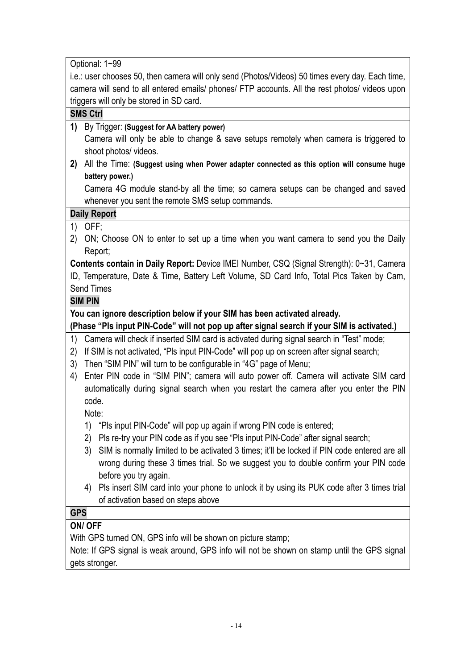Optional: 1~99 i.e.: user chooses 50, then camera will only send (Photos/Videos) 50 times every day. Each time, camera will send to all entered emails/ phones/ FTP accounts. All the rest photos/ videos upon triggers will only be stored in SD card. **SMS Ctrl 1)** By Trigger: **(Suggest for AA battery power)** Camera will only be able to change & save setups remotely when camera is triggered to shoot photos/ videos. **2)** All the Time: **(Suggest using when Power adapter connected as this option will consume huge battery power.)** Camera 4G module stand-by all the time; so camera setups can be changed and saved whenever you sent the remote SMS setup commands. **Daily Report** 1) OFF; 2) ON; Choose ON to enter to set up a time when you want camera to send you the Daily Report; **Contents contain in Daily Report:** Device IMEI Number, CSQ (Signal Strength): 0~31, Camera ID, Temperature, Date & Time, Battery Left Volume, SD Card Info, Total Pics Taken by Cam, Send Times **SIM PIN You can ignore description below if your SIM has been activated already. (Phase "Pls input PIN-Code" will not pop up after signal search if your SIM is activated.)** 1) Camera will check if inserted SIM card is activated during signal search in "Test" mode; 2) If SIM is not activated, "Pls input PIN-Code" will pop up on screen after signal search; 3) Then "SIM PIN" will turn to be configurable in "4G" page of Menu; 4) Enter PIN code in "SIM PIN"; camera will auto power off. Camera will activate SIM card automatically during signal search when you restart the camera after you enter the PIN code. Note: 1) "Pls input PIN-Code" will pop up again if wrong PIN code is entered; 2) Pls re-try your PIN code as if you see "Pls input PIN-Code" after signal search; 3) SIM is normally limited to be activated 3 times; it'll be locked if PIN code entered are all wrong during these 3 times trial. So we suggest you to double confirm your PIN code before you try again. 4) Pls insert SIM card into your phone to unlock it by using its PUK code after 3 times trial of activation based on steps above **GPS ON/ OFF** With GPS turned ON, GPS info will be shown on picture stamp; Note: If GPS signal is weak around, GPS info will not be shown on stamp until the GPS signal gets stronger.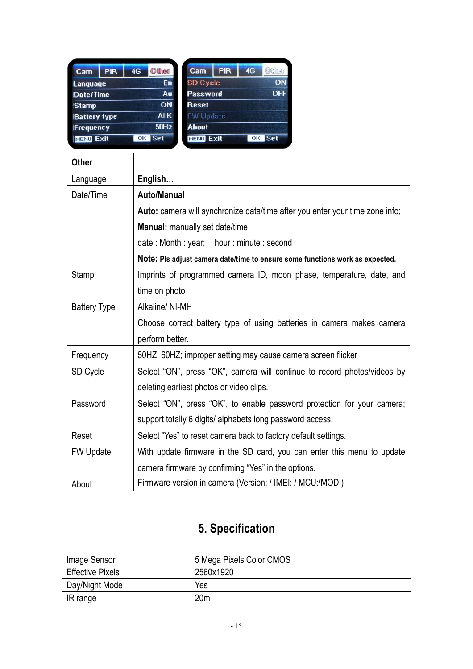| Cam                 | <b>PIR</b> | 4G | <b>Officer</b> | Cam              | <b>PIR</b> | 4G          | <b>OXITET</b> |
|---------------------|------------|----|----------------|------------------|------------|-------------|---------------|
| <b>Language</b>     |            |    | En:            | <b>SD Cycle</b>  |            |             | ON            |
| Date/Time           |            |    | Au.            | <b>Password</b>  |            |             | <b>OFF</b>    |
| <b>Stamp</b>        |            |    | <b>ON</b>      | <b>Reset</b>     |            |             |               |
| <b>Battery type</b> |            |    | <b>ALK</b>     | <b>FW Update</b> |            |             |               |
| Frequency           |            |    | 50Hz           | <b>About</b>     |            |             |               |
| <b>MENU Exit</b>    |            | OK | <b>Set</b>     | <b>MENU Exit</b> |            | $_{\rm OK}$ | <b>Set</b>    |

| <b>Other</b>        |                                                                              |
|---------------------|------------------------------------------------------------------------------|
| Language            | English                                                                      |
| Date/Time           | <b>Auto/Manual</b>                                                           |
|                     | Auto: camera will synchronize data/time after you enter your time zone info; |
|                     | Manual: manually set date/time                                               |
|                     | date: Month: year; hour: minute: second                                      |
|                     | Note: PIs adjust camera date/time to ensure some functions work as expected. |
| Stamp               | Imprints of programmed camera ID, moon phase, temperature, date, and         |
|                     | time on photo                                                                |
| <b>Battery Type</b> | Alkaline/ NI-MH                                                              |
|                     | Choose correct battery type of using batteries in camera makes camera        |
|                     | perform better.                                                              |
| Frequency           | 50HZ, 60HZ; improper setting may cause camera screen flicker                 |
| SD Cycle            | Select "ON", press "OK", camera will continue to record photos/videos by     |
|                     | deleting earliest photos or video clips.                                     |
| Password            | Select "ON", press "OK", to enable password protection for your camera;      |
|                     | support totally 6 digits/ alphabets long password access.                    |
| Reset               | Select "Yes" to reset camera back to factory default settings.               |
| <b>FW Update</b>    | With update firmware in the SD card, you can enter this menu to update       |
|                     | camera firmware by confirming "Yes" in the options.                          |
| About               | Firmware version in camera (Version: / IMEI: / MCU:/MOD:)                    |

# **5. Specification**

| Image Sensor            | 5 Mega Pixels Color CMOS |
|-------------------------|--------------------------|
| <b>Effective Pixels</b> | 2560x1920                |
| Day/Night Mode          | Yes                      |
| IR range                | 20 <sub>m</sub>          |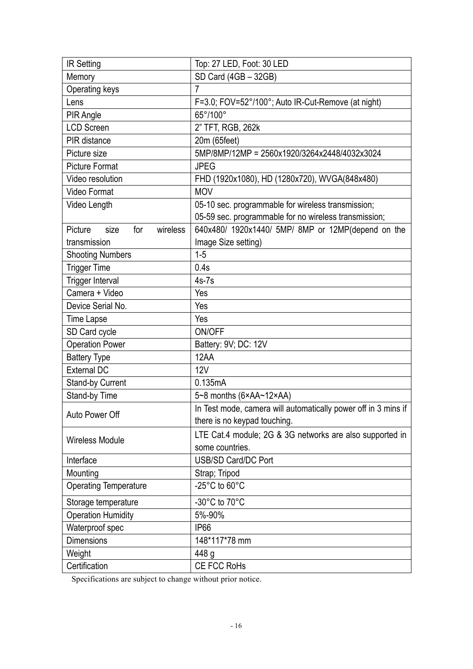| <b>IR Setting</b>                  | Top: 27 LED, Foot: 30 LED                                      |  |  |
|------------------------------------|----------------------------------------------------------------|--|--|
| Memory                             | SD Card (4GB - 32GB)                                           |  |  |
| Operating keys                     | $\overline{7}$                                                 |  |  |
| Lens                               | F=3.0; FOV=52°/100°; Auto IR-Cut-Remove (at night)             |  |  |
| PIR Angle                          | 65°/100°                                                       |  |  |
| <b>LCD Screen</b>                  | 2" TFT, RGB, 262k                                              |  |  |
| PIR distance                       | 20m (65feet)                                                   |  |  |
| Picture size                       | 5MP/8MP/12MP = 2560x1920/3264x2448/4032x3024                   |  |  |
| <b>Picture Format</b>              | <b>JPEG</b>                                                    |  |  |
| Video resolution                   | FHD (1920x1080), HD (1280x720), WVGA(848x480)                  |  |  |
| <b>Video Format</b>                | <b>MOV</b>                                                     |  |  |
| Video Length                       | 05-10 sec. programmable for wireless transmission;             |  |  |
|                                    | 05-59 sec. programmable for no wireless transmission;          |  |  |
| wireless<br>Picture<br>for<br>size | 640x480/ 1920x1440/ 5MP/ 8MP or 12MP(depend on the             |  |  |
| transmission                       | Image Size setting)                                            |  |  |
| <b>Shooting Numbers</b>            | $1 - 5$                                                        |  |  |
| <b>Trigger Time</b>                | 0.4s                                                           |  |  |
| <b>Trigger Interval</b>            | $4s-7s$                                                        |  |  |
| Camera + Video                     | Yes                                                            |  |  |
| Device Serial No.                  | Yes                                                            |  |  |
| Time Lapse                         | Yes                                                            |  |  |
| SD Card cycle                      | ON/OFF                                                         |  |  |
| <b>Operation Power</b>             | Battery: 9V; DC: 12V                                           |  |  |
| <b>Battery Type</b>                | 12AA                                                           |  |  |
| <b>External DC</b>                 | 12V                                                            |  |  |
| <b>Stand-by Current</b>            | 0.135mA                                                        |  |  |
| Stand-by Time                      | $5-8$ months $(6 \times AA \sim 12 \times AA)$                 |  |  |
| Auto Power Off                     | In Test mode, camera will automatically power off in 3 mins if |  |  |
|                                    | there is no keypad touching.                                   |  |  |
| <b>Wireless Module</b>             | LTE Cat.4 module; 2G & 3G networks are also supported in       |  |  |
|                                    | some countries.                                                |  |  |
| Interface                          | USB/SD Card/DC Port                                            |  |  |
| Mounting                           | Strap; Tripod                                                  |  |  |
| <b>Operating Temperature</b>       | -25 $^{\circ}$ C to 60 $^{\circ}$ C                            |  |  |
| Storage temperature                | -30°C to 70°C                                                  |  |  |
| <b>Operation Humidity</b>          | 5%-90%                                                         |  |  |
| Waterproof spec                    | IP66                                                           |  |  |
| <b>Dimensions</b>                  | 148*117*78 mm                                                  |  |  |
| Weight                             | 448 g                                                          |  |  |
| Certification                      | CE FCC RoHs                                                    |  |  |

Specifications are subject to change without prior notice.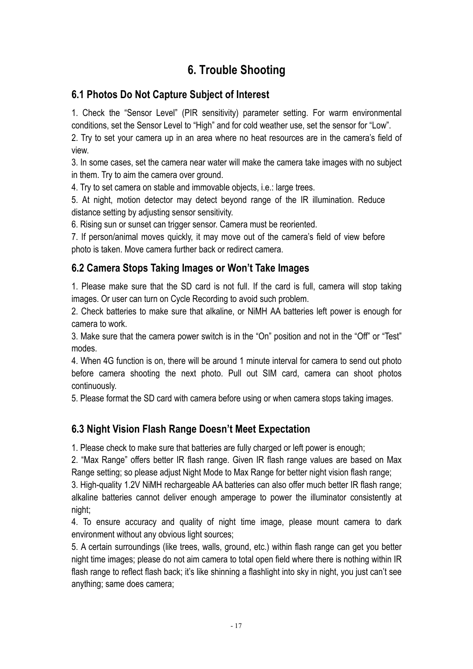# **6. Trouble Shooting**

## **6.1 Photos Do Not Capture Subject of Interest**

1. Check the "Sensor Level" (PIR sensitivity) parameter setting. For warm environmental conditions, set the Sensor Level to "High" and for cold weather use, set the sensor for "Low".

2. Try to set your camera up in an area where no heat resources are in the camera's field of view.

3. In some cases, set the camera near water will make the camera take images with no subject in them. Try to aim the camera over ground.

4. Try to set camera on stable and immovable objects, i.e.: large trees.

5. At night, motion detector may detect beyond range of the IR illumination. Reduce distance setting by adjusting sensor sensitivity.

6. Rising sun or sunset can trigger sensor. Camera must be reoriented.

7. If person/animal moves quickly, it may move out of the camera's field of view before photo is taken. Move camera further back or redirect camera.

## **6.2 Camera Stops Taking Images or Won't Take Images**

1. Please make sure that the SD card is not full. If the card is full, camera will stop taking images. Or user can turn on Cycle Recording to avoid such problem.

2. Check batteries to make sure that alkaline, or NiMH AA batteries left power is enough for camera to work.

3. Make sure that the camera power switch is in the "On" position and not in the "Off" or "Test" modes.

4. When 4G function is on, there will be around 1 minute interval for camera to send out photo before camera shooting the next photo. Pull out SIM card, camera can shoot photos continuously.

5. Please format the SD card with camera before using or when camera stops taking images.

#### **6.3 Night Vision Flash Range Doesn't Meet Expectation**

1. Please check to make sure that batteries are fully charged or left power is enough;

2. "Max Range" offers better IR flash range. Given IR flash range values are based on Max Range setting; so please adjust Night Mode to Max Range for better night vision flash range;

3. High-quality 1.2V NiMH rechargeable AA batteries can also offer much better IR flash range; alkaline batteries cannot deliver enough amperage to power the illuminator consistently at night;

4. To ensure accuracy and quality of night time image, please mount camera to dark environment without any obvious light sources;

5. A certain surroundings (like trees, walls, ground, etc.) within flash range can get you better night time images; please do not aim camera to total open field where there is nothing within IR flash range to reflect flash back; it's like shinning a flashlight into sky in night, you just can't see anything; same does camera;